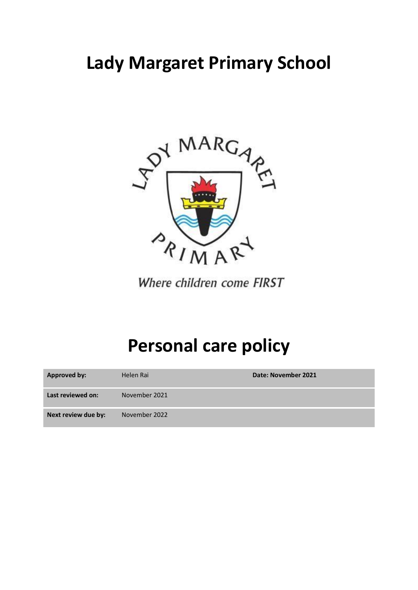# **Lady Margaret Primary School**



Where children come FIRST

# **Personal care policy**

| <b>Approved by:</b> | Helen Rai     | Date: November 2021 |
|---------------------|---------------|---------------------|
| Last reviewed on:   | November 2021 |                     |
| Next review due by: | November 2022 |                     |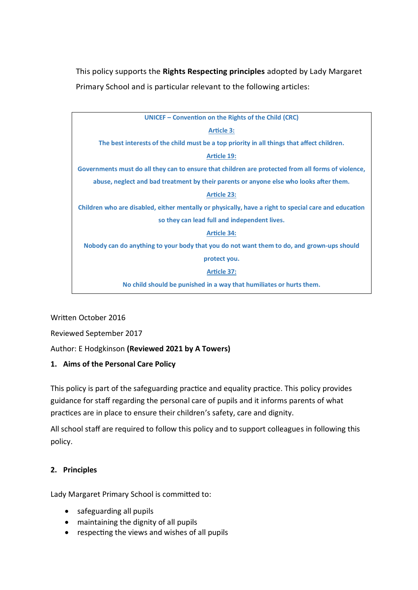This policy supports the **Rights Respecting principles** adopted by Lady Margaret Primary School and is particular relevant to the following articles:

| UNICEF – Convention on the Rights of the Child (CRC)                                                 |  |  |  |  |
|------------------------------------------------------------------------------------------------------|--|--|--|--|
| <b>Article 3:</b>                                                                                    |  |  |  |  |
| The best interests of the child must be a top priority in all things that affect children.           |  |  |  |  |
| Article 19:                                                                                          |  |  |  |  |
| Governments must do all they can to ensure that children are protected from all forms of violence,   |  |  |  |  |
| abuse, neglect and bad treatment by their parents or anyone else who looks after them.               |  |  |  |  |
| <b>Article 23:</b>                                                                                   |  |  |  |  |
| Children who are disabled, either mentally or physically, have a right to special care and education |  |  |  |  |
| so they can lead full and independent lives.                                                         |  |  |  |  |
| <b>Article 34:</b>                                                                                   |  |  |  |  |
| Nobody can do anything to your body that you do not want them to do, and grown-ups should            |  |  |  |  |
| protect you.                                                                                         |  |  |  |  |
| <b>Article 37:</b>                                                                                   |  |  |  |  |
| No child should be punished in a way that humiliates or hurts them.                                  |  |  |  |  |
|                                                                                                      |  |  |  |  |

Written October 2016

Reviewed September 2017

Author: E Hodgkinson **(Reviewed 2021 by A Towers)**

## **1. Aims of the Personal Care Policy**

This policy is part of the safeguarding practice and equality practice. This policy provides guidance for staff regarding the personal care of pupils and it informs parents of what practices are in place to ensure their children's safety, care and dignity.

All school staff are required to follow this policy and to support colleagues in following this policy.

#### **2. Principles**

Lady Margaret Primary School is committed to:

- safeguarding all pupils
- maintaining the dignity of all pupils
- respecting the views and wishes of all pupils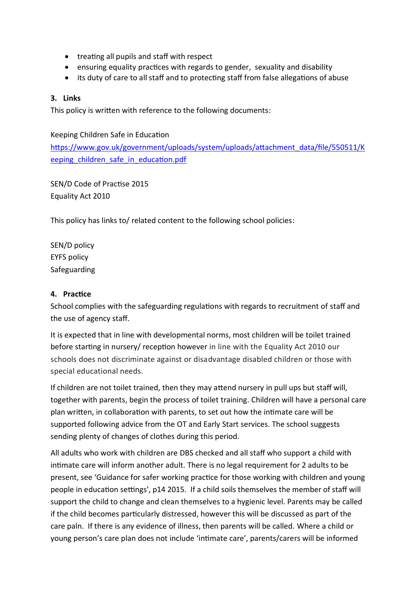- treating all pupils and staff with respect
- ensuring equality practices with regards to gender, sexuality and disability
- its duty of care to all staff and to protecting staff from false allegations of abuse

#### **3. Links**

This policy is written with reference to the following documents:

#### Keeping Children Safe in Education

[https://www.gov.uk/government/uploads/system/uploads/attachment\\_data/file/550511/K](https://www.gov.uk/government/uploads/system/uploads/attachment_data/file/550511/Keeping_children_safe_in_education.pdf) eeping children safe in education.pdf

SEN/D Code of Practise 2015 Equality Act 2010

This policy has links to/ related content to the following school policies:

SEN/D policy EYFS policy Safeguarding

#### **4. Practice**

School complies with the safeguarding regulations with regards to recruitment of staff and the use of agency staff.

It is expected that in line with developmental norms, most children will be toilet trained before starting in nursery/ reception however in line with the Equality Act 2010 our schools does not discriminate against or disadvantage disabled children or those with special educational needs.

If children are not toilet trained, then they may attend nursery in pull ups but staff will, together with parents, begin the process of toilet training. Children will have a personal care plan written, in collaboration with parents, to set out how the intimate care will be supported following advice from the OT and Early Start services. The school suggests sending plenty of changes of clothes during this period.

All adults who work with children are DBS checked and all staff who support a child with intimate care will inform another adult. There is no legal requirement for 2 adults to be present, see 'Guidance for safer working practice for those working with children and young people in education settings', p14 2015. If a child soils themselves the member of staff will support the child to change and clean themselves to a hygienic level. Parents may be called if the child becomes particularly distressed, however this will be discussed as part of the care paln. If there is any evidence of illness, then parents will be called. Where a child or young person's care plan does not include 'intimate care', parents/carers will be informed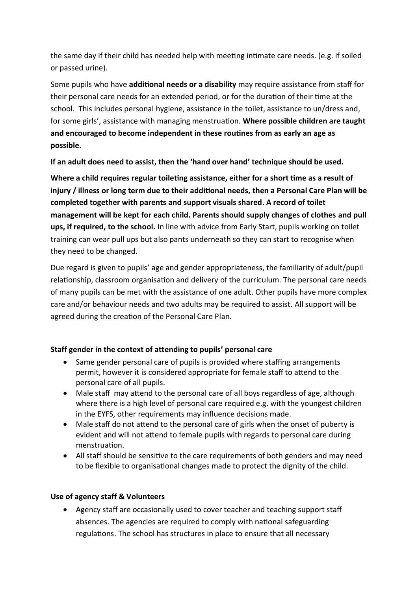the same day if their child has needed help with meeting intimate care needs. (e.g. if soiled or passed urine).

Some pupils who have **additional needs or a disability** may require assistance from staff for their personal care needs for an extended period, or for the duration of their time at the school. This includes personal hygiene, assistance in the toilet, assistance to un/dress and, for some girls', assistance with managing menstruation. **Where possible children are taught and encouraged to become independent in these routines from as early an age as possible.** 

**If an adult does need to assist, then the 'hand over hand' technique should be used.** 

**Where a child requires regular toileting assistance, either for a short time as a result of injury / illness or long term due to their additional needs, then a Personal Care Plan will be completed together with parents and support visuals shared. A record of toilet management will be kept for each child. Parents should supply changes of clothes and pull ups, if required, to the school.** In line with advice from Early Start, pupils working on toilet training can wear pull ups but also pants underneath so they can start to recognise when they need to be changed.

Due regard is given to pupils' age and gender appropriateness, the familiarity of adult/pupil relationship, classroom organisation and delivery of the curriculum. The personal care needs of many pupils can be met with the assistance of one adult. Other pupils have more complex care and/or behaviour needs and two adults may be required to assist. All support will be agreed during the creation of the Personal Care Plan.

# **Staff gender in the context of attending to pupils' personal care**

- Same gender personal care of pupils is provided where staffing arrangements permit, however it is considered appropriate for female staff to attend to the personal care of all pupils.
- Male staff may attend to the personal care of all boys regardless of age, although where there is a high level of personal care required e.g. with the youngest children in the EYFS, other requirements may influence decisions made.
- Male staff do not attend to the personal care of girls when the onset of puberty is evident and will not attend to female pupils with regards to personal care during menstruation.
- All staff should be sensitive to the care requirements of both genders and may need to be flexible to organisational changes made to protect the dignity of the child.

## **Use of agency staff & Volunteers**

 Agency staff are occasionally used to cover teacher and teaching support staff absences. The agencies are required to comply with national safeguarding regulations. The school has structures in place to ensure that all necessary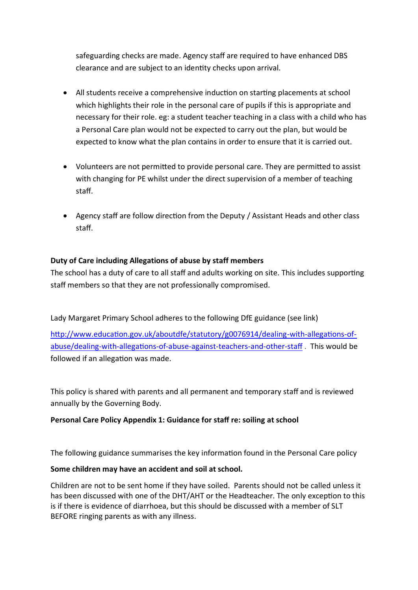safeguarding checks are made. Agency staff are required to have enhanced DBS clearance and are subject to an identity checks upon arrival.

- All students receive a comprehensive induction on starting placements at school which highlights their role in the personal care of pupils if this is appropriate and necessary for their role. eg: a student teacher teaching in a class with a child who has a Personal Care plan would not be expected to carry out the plan, but would be expected to know what the plan contains in order to ensure that it is carried out.
- Volunteers are not permitted to provide personal care. They are permitted to assist with changing for PE whilst under the direct supervision of a member of teaching staff.
- Agency staff are follow direction from the Deputy / Assistant Heads and other class staff.

## **Duty of Care including Allegations of abuse by staff members**

The school has a duty of care to all staff and adults working on site. This includes supporting staff members so that they are not professionally compromised.

Lady Margaret Primary School adheres to the following DfE guidance (see link)

[http://www.education.gov.uk/aboutdfe/statutory/g0076914/dealing-with-allegations-of](http://www.education.gov.uk/aboutdfe/statutory/g0076914/dealing-with-allegations-of-abuse/dealing-with-allegations-of-abuse-against-teachers-and-other-staff)[abuse/dealing-with-allegations-of-abuse-against-teachers-and-other-staff](http://www.education.gov.uk/aboutdfe/statutory/g0076914/dealing-with-allegations-of-abuse/dealing-with-allegations-of-abuse-against-teachers-and-other-staff). This would be followed if an allegation was made.

This policy is shared with parents and all permanent and temporary staff and is reviewed annually by the Governing Body.

## **Personal Care Policy Appendix 1: Guidance for staff re: soiling at school**

The following guidance summarises the key information found in the Personal Care policy

## **Some children may have an accident and soil at school.**

Children are not to be sent home if they have soiled. Parents should not be called unless it has been discussed with one of the DHT/AHT or the Headteacher. The only exception to this is if there is evidence of diarrhoea, but this should be discussed with a member of SLT BEFORE ringing parents as with any illness.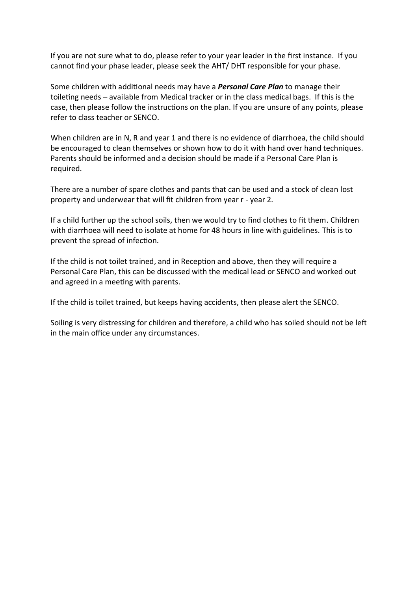If you are not sure what to do, please refer to your year leader in the first instance. If you cannot find your phase leader, please seek the AHT/ DHT responsible for your phase.

Some children with additional needs may have a *Personal Care Plan* to manage their toileting needs – available from Medical tracker or in the class medical bags. If this is the case, then please follow the instructions on the plan. If you are unsure of any points, please refer to class teacher or SENCO.

When children are in N, R and year 1 and there is no evidence of diarrhoea, the child should be encouraged to clean themselves or shown how to do it with hand over hand techniques. Parents should be informed and a decision should be made if a Personal Care Plan is required.

There are a number of spare clothes and pants that can be used and a stock of clean lost property and underwear that will fit children from year r - year 2.

If a child further up the school soils, then we would try to find clothes to fit them. Children with diarrhoea will need to isolate at home for 48 hours in line with guidelines. This is to prevent the spread of infection.

If the child is not toilet trained, and in Reception and above, then they will require a Personal Care Plan, this can be discussed with the medical lead or SENCO and worked out and agreed in a meeting with parents.

If the child is toilet trained, but keeps having accidents, then please alert the SENCO.

Soiling is very distressing for children and therefore, a child who has soiled should not be left in the main office under any circumstances.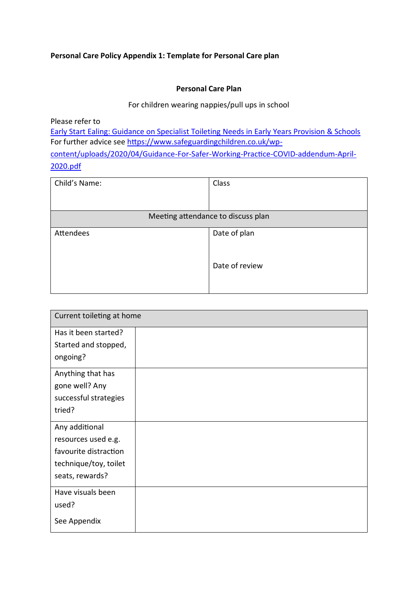#### **Personal Care Policy Appendix 1: Template for Personal Care plan**

#### **Personal Care Plan**

#### For children wearing nappies/pull ups in school

Please refer to

[Early Start Ealing: Guidance on Specialist Toileting Needs in Early Years Provision & Schools](https://www.egfl.org.uk/sites/default/files/Facilities/Health_safety/Early%20Start%20Ealing%20Guidance%20on%20Specialist%20Toileting%20Needs%20in%20Early%20Years%20Provision%20and%20Schools%202018_.pdf) For further advice see [https://www.safeguardingchildren.co.uk/wp](https://www.safeguardingchildren.co.uk/wp-content/uploads/2020/04/Guidance-For-Safer-Working-Practice-COVID-addendum-April-2020.pdf)[content/uploads/2020/04/Guidance-For-Safer-Working-Practice-COVID-addendum-April-](https://www.safeguardingchildren.co.uk/wp-content/uploads/2020/04/Guidance-For-Safer-Working-Practice-COVID-addendum-April-2020.pdf)[2020.pdf](https://www.safeguardingchildren.co.uk/wp-content/uploads/2020/04/Guidance-For-Safer-Working-Practice-COVID-addendum-April-2020.pdf)

| Child's Name:                      | Class          |  |  |
|------------------------------------|----------------|--|--|
| Meeting attendance to discuss plan |                |  |  |
| Attendees                          | Date of plan   |  |  |
|                                    | Date of review |  |  |

| Current toileting at home |  |  |  |  |
|---------------------------|--|--|--|--|
| Has it been started?      |  |  |  |  |
| Started and stopped,      |  |  |  |  |
| ongoing?                  |  |  |  |  |
| Anything that has         |  |  |  |  |
| gone well? Any            |  |  |  |  |
| successful strategies     |  |  |  |  |
| tried?                    |  |  |  |  |
| Any additional            |  |  |  |  |
| resources used e.g.       |  |  |  |  |
| favourite distraction     |  |  |  |  |
| technique/toy, toilet     |  |  |  |  |
| seats, rewards?           |  |  |  |  |
| Have visuals been         |  |  |  |  |
| used?                     |  |  |  |  |
| See Appendix              |  |  |  |  |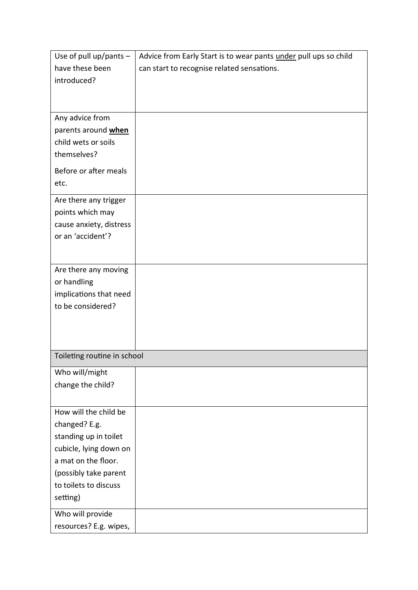| Use of pull up/pants $-$    | Advice from Early Start is to wear pants under pull ups so child |  |
|-----------------------------|------------------------------------------------------------------|--|
| have these been             | can start to recognise related sensations.                       |  |
| introduced?                 |                                                                  |  |
|                             |                                                                  |  |
|                             |                                                                  |  |
| Any advice from             |                                                                  |  |
| parents around when         |                                                                  |  |
| child wets or soils         |                                                                  |  |
| themselves?                 |                                                                  |  |
| Before or after meals       |                                                                  |  |
| etc.                        |                                                                  |  |
|                             |                                                                  |  |
| Are there any trigger       |                                                                  |  |
| points which may            |                                                                  |  |
| cause anxiety, distress     |                                                                  |  |
| or an 'accident'?           |                                                                  |  |
|                             |                                                                  |  |
|                             |                                                                  |  |
| Are there any moving        |                                                                  |  |
| or handling                 |                                                                  |  |
| implications that need      |                                                                  |  |
| to be considered?           |                                                                  |  |
|                             |                                                                  |  |
|                             |                                                                  |  |
|                             |                                                                  |  |
| Toileting routine in school |                                                                  |  |
| Who will/might              |                                                                  |  |
| change the child?           |                                                                  |  |
|                             |                                                                  |  |
| How will the child be       |                                                                  |  |
| changed? E.g.               |                                                                  |  |
| standing up in toilet       |                                                                  |  |
| cubicle, lying down on      |                                                                  |  |
| a mat on the floor.         |                                                                  |  |
| (possibly take parent       |                                                                  |  |
| to toilets to discuss       |                                                                  |  |
| setting)                    |                                                                  |  |
|                             |                                                                  |  |
| Who will provide            |                                                                  |  |
| resources? E.g. wipes,      |                                                                  |  |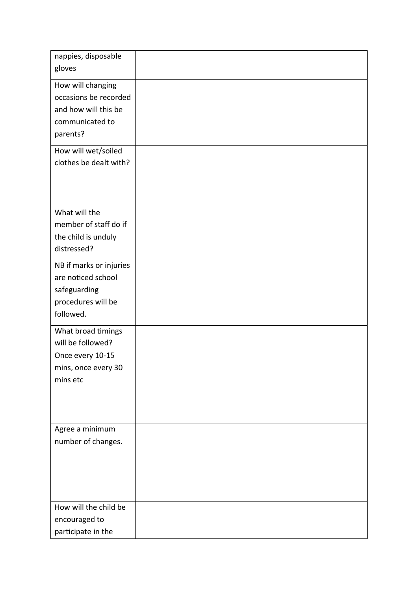| nappies, disposable     |  |
|-------------------------|--|
| gloves                  |  |
| How will changing       |  |
| occasions be recorded   |  |
| and how will this be    |  |
| communicated to         |  |
| parents?                |  |
| How will wet/soiled     |  |
| clothes be dealt with?  |  |
|                         |  |
|                         |  |
|                         |  |
| What will the           |  |
| member of staff do if   |  |
| the child is unduly     |  |
| distressed?             |  |
| NB if marks or injuries |  |
| are noticed school      |  |
| safeguarding            |  |
| procedures will be      |  |
| followed.               |  |
| What broad timings      |  |
| will be followed?       |  |
| Once every 10-15        |  |
| mins, once every 30     |  |
| mins etc                |  |
|                         |  |
|                         |  |
|                         |  |
| Agree a minimum         |  |
| number of changes.      |  |
|                         |  |
|                         |  |
|                         |  |
|                         |  |
| How will the child be   |  |
| encouraged to           |  |
| participate in the      |  |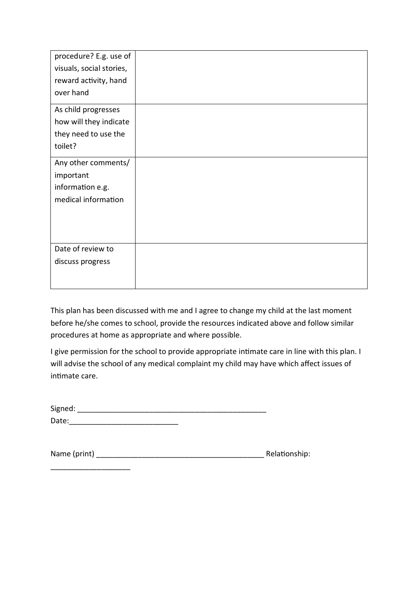| procedure? E.g. use of   |  |
|--------------------------|--|
| visuals, social stories, |  |
| reward activity, hand    |  |
| over hand                |  |
| As child progresses      |  |
| how will they indicate   |  |
| they need to use the     |  |
| toilet?                  |  |
| Any other comments/      |  |
| important                |  |
| information e.g.         |  |
| medical information      |  |
|                          |  |
|                          |  |
|                          |  |
| Date of review to        |  |
| discuss progress         |  |
|                          |  |
|                          |  |

This plan has been discussed with me and I agree to change my child at the last moment before he/she comes to school, provide the resources indicated above and follow similar procedures at home as appropriate and where possible.

I give permission for the school to provide appropriate intimate care in line with this plan. I will advise the school of any medical complaint my child may have which affect issues of intimate care.

| Signed: |  |  |  |
|---------|--|--|--|
| Date:   |  |  |  |

\_\_\_\_\_\_\_\_\_\_\_\_\_\_\_\_\_\_\_

| Name (print) |  | Relationship: |
|--------------|--|---------------|
|--------------|--|---------------|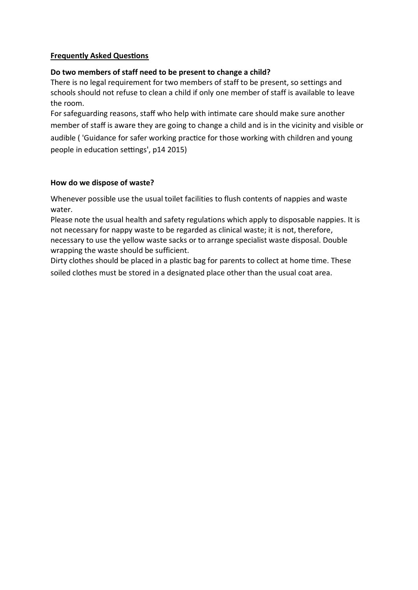# **Frequently Asked Questions**

# **Do two members of staff need to be present to change a child?**

There is no legal requirement for two members of staff to be present, so settings and schools should not refuse to clean a child if only one member of staff is available to leave the room.

For safeguarding reasons, staff who help with intimate care should make sure another member of staff is aware they are going to change a child and is in the vicinity and visible or audible ( 'Guidance for safer working practice for those working with children and young people in education settings', p14 2015)

#### **How do we dispose of waste?**

Whenever possible use the usual toilet facilities to flush contents of nappies and waste water.

Please note the usual health and safety regulations which apply to disposable nappies. It is not necessary for nappy waste to be regarded as clinical waste; it is not, therefore, necessary to use the yellow waste sacks or to arrange specialist waste disposal. Double wrapping the waste should be sufficient.

Dirty clothes should be placed in a plastic bag for parents to collect at home time. These soiled clothes must be stored in a designated place other than the usual coat area.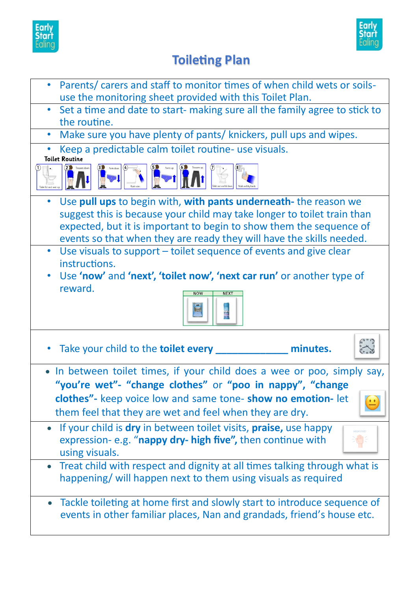



# **Toileting Plan**



- In between toilet times, if your child does a wee or poo, simply say, **"you're wet"- "change clothes"** or **"poo in nappy", "change clothes"-** keep voice low and same tone- **show no emotion-** let  $\mathbf{L}$ them feel that they are wet and feel when they are dry.
- If your child is **dry** in between toilet visits, **praise,** use happy expression- e.g. "**nappy dry- high five",** then continue with using visuals.
- Treat child with respect and dignity at all times talking through what is happening/ will happen next to them using visuals as required
- Tackle toileting at home first and slowly start to introduce sequence of events in other familiar places, Nan and grandads, friend's house etc.